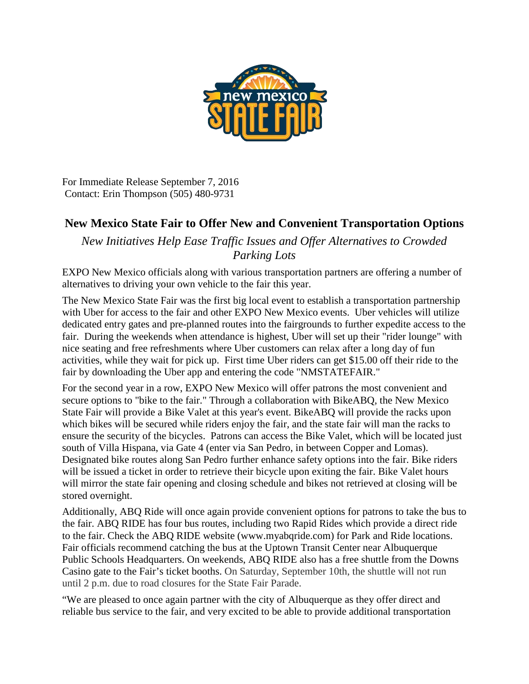

For Immediate Release September 7, 2016 Contact: Erin Thompson (505) 480-9731

## **New Mexico State Fair to Offer New and Convenient Transportation Options**

*New Initiatives Help Ease Traffic Issues and Offer Alternatives to Crowded Parking Lots*

EXPO New Mexico officials along with various transportation partners are offering a number of alternatives to driving your own vehicle to the fair this year.

The New Mexico State Fair was the first big local event to establish a transportation partnership with Uber for access to the fair and other EXPO New Mexico events. Uber vehicles will utilize dedicated entry gates and pre-planned routes into the fairgrounds to further expedite access to the fair. During the weekends when attendance is highest, Uber will set up their "rider lounge" with nice seating and free refreshments where Uber customers can relax after a long day of fun activities, while they wait for pick up. First time Uber riders can get \$15.00 off their ride to the fair by downloading the Uber app and entering the code "NMSTATEFAIR."

For the second year in a row, EXPO New Mexico will offer patrons the most convenient and secure options to "bike to the fair." Through a collaboration with BikeABQ, the New Mexico State Fair will provide a Bike Valet at this year's event. BikeABQ will provide the racks upon which bikes will be secured while riders enjoy the fair, and the state fair will man the racks to ensure the security of the bicycles. Patrons can access the Bike Valet, which will be located just south of Villa Hispana, via Gate 4 (enter via San Pedro, in between Copper and Lomas). Designated bike routes along San Pedro further enhance safety options into the fair. Bike riders will be issued a ticket in order to retrieve their bicycle upon exiting the fair. Bike Valet hours will mirror the state fair opening and closing schedule and bikes not retrieved at closing will be stored overnight.

Additionally, ABQ Ride will once again provide convenient options for patrons to take the bus to the fair. ABQ RIDE has four bus routes, including two Rapid Rides which provide a direct ride to the fair. Check the ABQ RIDE website (www.myabqride.com) for Park and Ride locations. Fair officials recommend catching the bus at the Uptown Transit Center near Albuquerque Public Schools Headquarters. On weekends, ABQ RIDE also has a free shuttle from the Downs Casino gate to the Fair's ticket booths. On Saturday, September 10th, the shuttle will not run until 2 p.m. due to road closures for the State Fair Parade.

"We are pleased to once again partner with the city of Albuquerque as they offer direct and reliable bus service to the fair, and very excited to be able to provide additional transportation